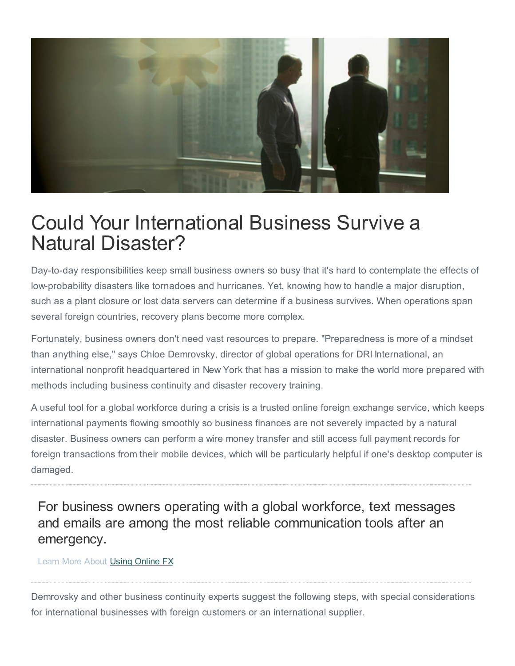

# Could Your International Business Survive a Natural Disaster?

Day-to-day responsibilities keep small business owners so busy that it's hard to contemplate the effects of low-probability disasters like tornadoes and hurricanes. Yet, knowing how to handle a major disruption, such as a plant closure or lost data servers can determine if a business survives. When operations span several foreign countries, recovery plans become more complex.

Fortunately, business owners don't need vast resources to prepare. "Preparedness is more of a mindset than anything else," says Chloe Demrovsky, director of global operations for DRI International, an international nonprofit headquartered in New York that has a mission to make the world more prepared with methods including business continuity and disaster recovery training.

A useful tool for a global workforce during a crisis is a trusted online foreign exchange service, which keeps international payments flowing smoothly so business finances are not severely impacted by a natural disaster. Business owners can perform a wire money transfer and still access full payment records for foreign transactions from their mobile devices, which will be particularly helpful if one's desktop computer is damaged.

For business owners operating with a global workforce, text messages and emails are among the most reliable communication tools after an emergency.

#### Learn More About Using [Online](http://onlinefx.westernunion.com/how-it-works/) FX

Demrovsky and other business continuity experts suggest the following steps, with special considerations for international businesses with foreign customers or an international supplier.